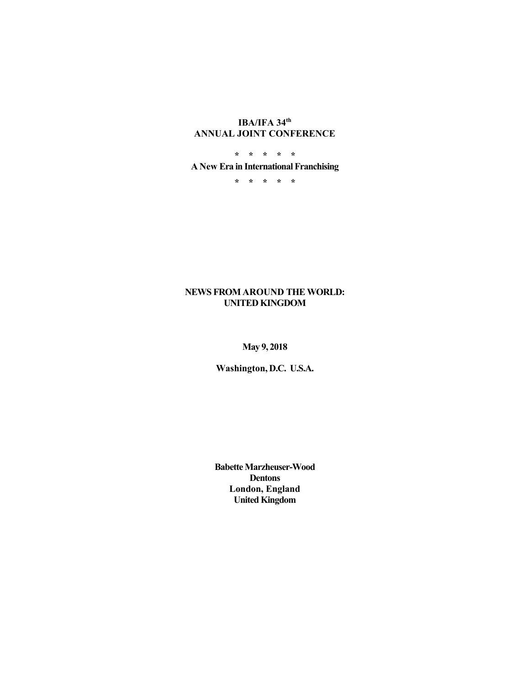## **IBA/IFA 34th ANNUAL JOINT CONFERENCE**

**\* \* \* \* \* A New Era in International Franchising** 

**\* \* \* \* \*** 

#### **NEWS FROM AROUND THE WORLD: UNITED KINGDOM**

**May 9, 2018** 

**Washington, D.C. U.S.A.** 

**Babette Marzheuser-Wood Dentons London, England United Kingdom**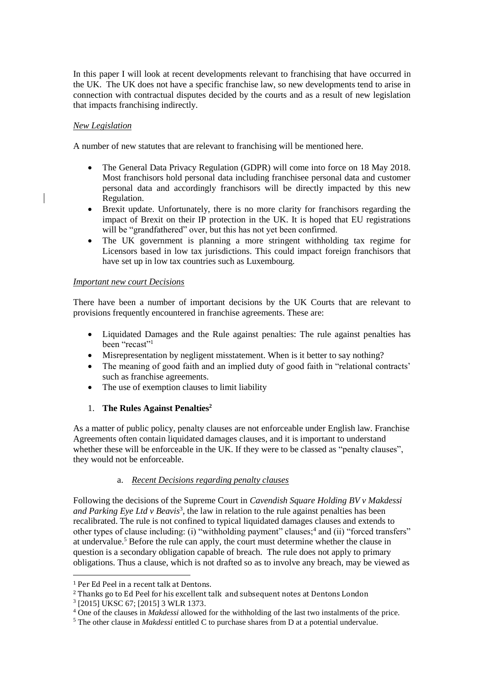In this paper I will look at recent developments relevant to franchising that have occurred in the UK. The UK does not have a specific franchise law, so new developments tend to arise in connection with contractual disputes decided by the courts and as a result of new legislation that impacts franchising indirectly.

#### *New Legislation*

A number of new statutes that are relevant to franchising will be mentioned here.

- The General Data Privacy Regulation (GDPR) will come into force on 18 May 2018. Most franchisors hold personal data including franchisee personal data and customer personal data and accordingly franchisors will be directly impacted by this new Regulation.
- Brexit update. Unfortunately, there is no more clarity for franchisors regarding the impact of Brexit on their IP protection in the UK. It is hoped that EU registrations will be "grandfathered" over, but this has not yet been confirmed.
- The UK government is planning a more stringent withholding tax regime for Licensors based in low tax jurisdictions. This could impact foreign franchisors that have set up in low tax countries such as Luxembourg.

#### *Important new court Decisions*

There have been a number of important decisions by the UK Courts that are relevant to provisions frequently encountered in franchise agreements. These are:

- Liquidated Damages and the Rule against penalties: The rule against penalties has been "recast"<sup>1</sup>
- Misrepresentation by negligent misstatement. When is it better to say nothing?
- The meaning of good faith and an implied duty of good faith in "relational contracts" such as franchise agreements.
- The use of exemption clauses to limit liability

## 1. **The Rules Against Penalties<sup>2</sup>**

As a matter of public policy, penalty clauses are not enforceable under English law. Franchise Agreements often contain liquidated damages clauses, and it is important to understand whether these will be enforceable in the UK. If they were to be classed as "penalty clauses", they would not be enforceable.

## a. *Recent Decisions regarding penalty clauses*

Following the decisions of the Supreme Court in *Cavendish Square Holding BV v Makdessi and Parking Eye Ltd v Beavis*<sup>3</sup> , the law in relation to the rule against penalties has been recalibrated. The rule is not confined to typical liquidated damages clauses and extends to other types of clause including: (i) "withholding payment" clauses;<sup>4</sup> and (ii) "forced transfers" at undervalue.<sup>5</sup> Before the rule can apply, the court must determine whether the clause in question is a secondary obligation capable of breach. The rule does not apply to primary obligations. Thus a clause, which is not drafted so as to involve any breach, may be viewed as

<sup>1</sup> Per Ed Peel in a recent talk at Dentons.

<sup>2</sup> Thanks go to Ed Peel for his excellent talk and subsequent notes at Dentons London

<sup>3</sup> [2015] UKSC 67; [2015] 3 WLR 1373.

<sup>4</sup> One of the clauses in *Makdessi* allowed for the withholding of the last two instalments of the price.

<sup>5</sup> The other clause in *Makdessi* entitled C to purchase shares from D at a potential undervalue.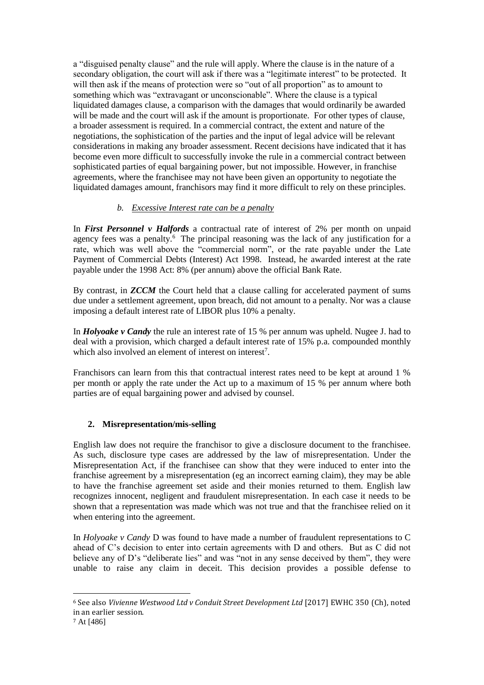a "disguised penalty clause" and the rule will apply. Where the clause is in the nature of a secondary obligation, the court will ask if there was a "legitimate interest" to be protected. It will then ask if the means of protection were so "out of all proportion" as to amount to something which was "extravagant or unconscionable". Where the clause is a typical liquidated damages clause, a comparison with the damages that would ordinarily be awarded will be made and the court will ask if the amount is proportionate. For other types of clause, a broader assessment is required. In a commercial contract, the extent and nature of the negotiations, the sophistication of the parties and the input of legal advice will be relevant considerations in making any broader assessment. Recent decisions have indicated that it has become even more difficult to successfully invoke the rule in a commercial contract between sophisticated parties of equal bargaining power, but not impossible. However, in franchise agreements, where the franchisee may not have been given an opportunity to negotiate the liquidated damages amount, franchisors may find it more difficult to rely on these principles.

# *b. Excessive Interest rate can be a penalty*

In *First Personnel v Halfords* a contractual rate of interest of 2% per month on unpaid agency fees was a penalty.<sup>6</sup> The principal reasoning was the lack of any justification for a rate, which was well above the "commercial norm", or the rate payable under the Late Payment of Commercial Debts (Interest) Act 1998. Instead, he awarded interest at the rate payable under the 1998 Act: 8% (per annum) above the official Bank Rate.

By contrast, in *ZCCM* the Court held that a clause calling for accelerated payment of sums due under a settlement agreement, upon breach, did not amount to a penalty. Nor was a clause imposing a default interest rate of LIBOR plus 10% a penalty.

In *Holyoake v Candy* the rule an interest rate of 15 % per annum was upheld. Nugee J. had to deal with a provision, which charged a default interest rate of 15% p.a. compounded monthly which also involved an element of interest on interest<sup>7</sup>.

Franchisors can learn from this that contractual interest rates need to be kept at around 1 % per month or apply the rate under the Act up to a maximum of 15 % per annum where both parties are of equal bargaining power and advised by counsel.

## **2. Misrepresentation/mis-selling**

English law does not require the franchisor to give a disclosure document to the franchisee. As such, disclosure type cases are addressed by the law of misrepresentation. Under the Misrepresentation Act, if the franchisee can show that they were induced to enter into the franchise agreement by a misrepresentation (eg an incorrect earning claim), they may be able to have the franchise agreement set aside and their monies returned to them. English law recognizes innocent, negligent and fraudulent misrepresentation. In each case it needs to be shown that a representation was made which was not true and that the franchisee relied on it when entering into the agreement.

In *Holyoake v Candy* D was found to have made a number of fraudulent representations to C ahead of C's decision to enter into certain agreements with D and others. But as C did not believe any of D's "deliberate lies" and was "not in any sense deceived by them", they were unable to raise any claim in deceit. This decision provides a possible defense to

<sup>6</sup> See also *Vivienne Westwood Ltd v Conduit Street Development Ltd* [2017] EWHC 350 (Ch), noted in an earlier session.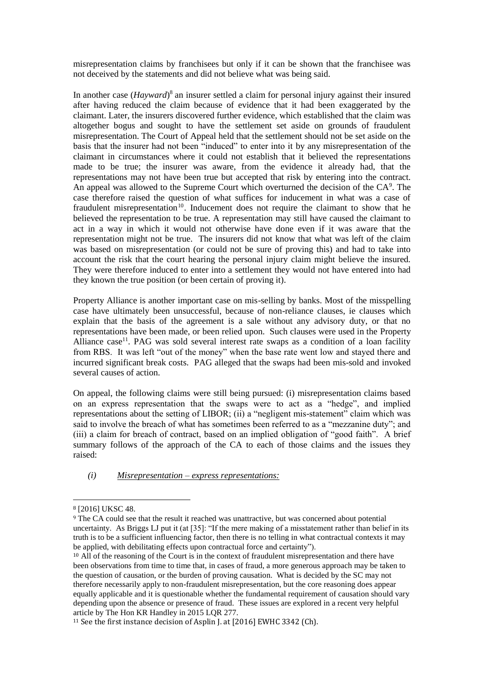misrepresentation claims by franchisees but only if it can be shown that the franchisee was not deceived by the statements and did not believe what was being said.

In another case (*Hayward*)<sup>8</sup> an insurer settled a claim for personal injury against their insured after having reduced the claim because of evidence that it had been exaggerated by the claimant. Later, the insurers discovered further evidence, which established that the claim was altogether bogus and sought to have the settlement set aside on grounds of fraudulent misrepresentation. The Court of Appeal held that the settlement should not be set aside on the basis that the insurer had not been "induced" to enter into it by any misrepresentation of the claimant in circumstances where it could not establish that it believed the representations made to be true; the insurer was aware, from the evidence it already had, that the representations may not have been true but accepted that risk by entering into the contract. An appeal was allowed to the Supreme Court which overturned the decision of the  $CA<sup>9</sup>$ . The case therefore raised the question of what suffices for inducement in what was a case of fraudulent misrepresentation<sup>10</sup>. Inducement does not require the claimant to show that he believed the representation to be true. A representation may still have caused the claimant to act in a way in which it would not otherwise have done even if it was aware that the representation might not be true. The insurers did not know that what was left of the claim was based on misrepresentation (or could not be sure of proving this) and had to take into account the risk that the court hearing the personal injury claim might believe the insured. They were therefore induced to enter into a settlement they would not have entered into had they known the true position (or been certain of proving it).

Property Alliance is another important case on mis-selling by banks. Most of the misspelling case have ultimately been unsuccessful, because of non-reliance clauses, ie clauses which explain that the basis of the agreement is a sale without any advisory duty, or that no representations have been made, or been relied upon. Such clauses were used in the Property Alliance case<sup>11</sup>. PAG was sold several interest rate swaps as a condition of a loan facility from RBS. It was left "out of the money" when the base rate went low and stayed there and incurred significant break costs. PAG alleged that the swaps had been mis-sold and invoked several causes of action.

On appeal, the following claims were still being pursued: (i) misrepresentation claims based on an express representation that the swaps were to act as a "hedge", and implied representations about the setting of LIBOR; (ii) a "negligent mis-statement" claim which was said to involve the breach of what has sometimes been referred to as a "mezzanine duty"; and (iii) a claim for breach of contract, based on an implied obligation of "good faith". A brief summary follows of the approach of the CA to each of those claims and the issues they raised:

#### *(i) Misrepresentation – express representations:*

<sup>8</sup> [2016] UKSC 48.

<sup>9</sup> The CA could see that the result it reached was unattractive, but was concerned about potential uncertainty. As Briggs LJ put it (at [35]: "If the mere making of a misstatement rather than belief in its truth is to be a sufficient influencing factor, then there is no telling in what contractual contexts it may be applied, with debilitating effects upon contractual force and certainty").

<sup>&</sup>lt;sup>10</sup> All of the reasoning of the Court is in the context of fraudulent misrepresentation and there have been observations from time to time that, in cases of fraud, a more generous approach may be taken to the question of causation, or the burden of proving causation. What is decided by the SC may not therefore necessarily apply to non-fraudulent misrepresentation, but the core reasoning does appear equally applicable and it is questionable whether the fundamental requirement of causation should vary depending upon the absence or presence of fraud. These issues are explored in a recent very helpful article by The Hon KR Handley in 2015 LQR 277.

<sup>&</sup>lt;sup>11</sup> See the first instance decision of Asplin J. at [2016] EWHC 3342 (Ch).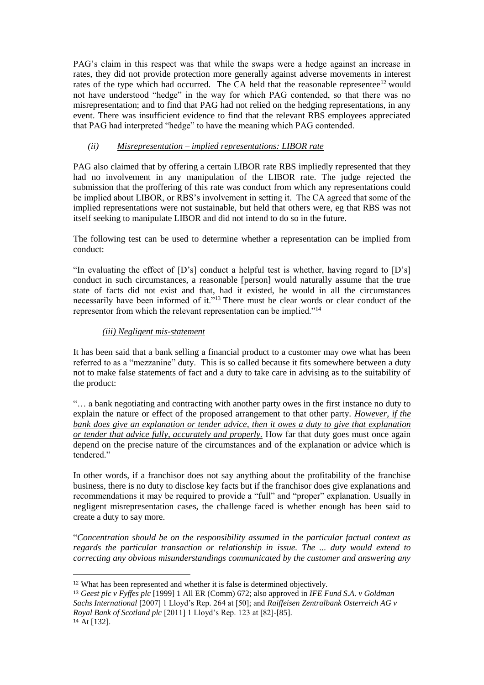PAG's claim in this respect was that while the swaps were a hedge against an increase in rates, they did not provide protection more generally against adverse movements in interest rates of the type which had occurred. The CA held that the reasonable representee<sup>12</sup> would not have understood "hedge" in the way for which PAG contended, so that there was no misrepresentation; and to find that PAG had not relied on the hedging representations, in any event. There was insufficient evidence to find that the relevant RBS employees appreciated that PAG had interpreted "hedge" to have the meaning which PAG contended.

## *(ii) Misrepresentation – implied representations: LIBOR rate*

PAG also claimed that by offering a certain LIBOR rate RBS impliedly represented that they had no involvement in any manipulation of the LIBOR rate. The judge rejected the submission that the proffering of this rate was conduct from which any representations could be implied about LIBOR, or RBS's involvement in setting it. The CA agreed that some of the implied representations were not sustainable, but held that others were, eg that RBS was not itself seeking to manipulate LIBOR and did not intend to do so in the future.

The following test can be used to determine whether a representation can be implied from conduct:

"In evaluating the effect of  $[D's]$  conduct a helpful test is whether, having regard to  $[D's]$ conduct in such circumstances, a reasonable [person] would naturally assume that the true state of facts did not exist and that, had it existed, he would in all the circumstances necessarily have been informed of it."<sup>13</sup> There must be clear words or clear conduct of the representor from which the relevant representation can be implied."<sup>14</sup>

## *(iii) Negligent mis-statement*

It has been said that a bank selling a financial product to a customer may owe what has been referred to as a "mezzanine" duty. This is so called because it fits somewhere between a duty not to make false statements of fact and a duty to take care in advising as to the suitability of the product:

"… a bank negotiating and contracting with another party owes in the first instance no duty to explain the nature or effect of the proposed arrangement to that other party. *However, if the bank does give an explanation or tender advice, then it owes a duty to give that explanation or tender that advice fully, accurately and properly.* How far that duty goes must once again depend on the precise nature of the circumstances and of the explanation or advice which is tendered."

In other words, if a franchisor does not say anything about the profitability of the franchise business, there is no duty to disclose key facts but if the franchisor does give explanations and recommendations it may be required to provide a "full" and "proper" explanation. Usually in negligent misrepresentation cases, the challenge faced is whether enough has been said to create a duty to say more.

"*Concentration should be on the responsibility assumed in the particular factual context as regards the particular transaction or relationship in issue. The ... duty would extend to correcting any obvious misunderstandings communicated by the customer and answering any* 

<sup>12</sup> What has been represented and whether it is false is determined objectively.

<sup>13</sup> *Geest plc v Fyffes plc* [1999] 1 All ER (Comm) 672; also approved in *IFE Fund S.A. v Goldman Sachs International* [2007] 1 Lloyd's Rep. 264 at [50]; and *Raiffeisen Zentralbank Osterreich AG v Royal Bank of Scotland plc* [2011] 1 Lloyd's Rep. 123 at [82]-[85]. <sup>14</sup> At [132].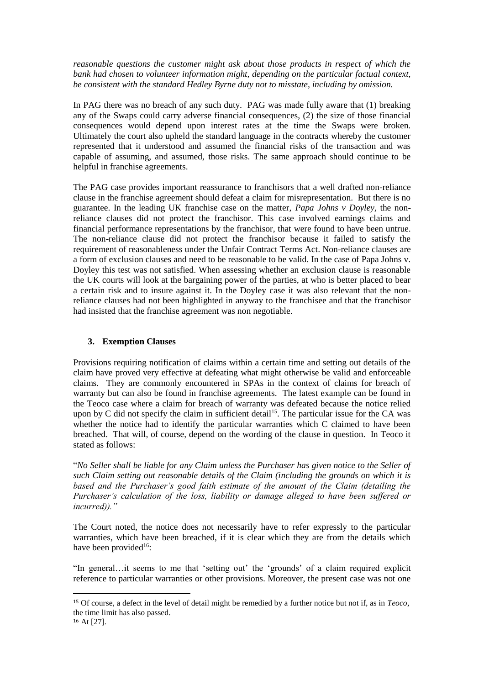*reasonable questions the customer might ask about those products in respect of which the bank had chosen to volunteer information might, depending on the particular factual context, be consistent with the standard Hedley Byrne duty not to misstate, including by omission.*

In PAG there was no breach of any such duty. PAG was made fully aware that (1) breaking any of the Swaps could carry adverse financial consequences, (2) the size of those financial consequences would depend upon interest rates at the time the Swaps were broken. Ultimately the court also upheld the standard language in the contracts whereby the customer represented that it understood and assumed the financial risks of the transaction and was capable of assuming, and assumed, those risks. The same approach should continue to be helpful in franchise agreements.

The PAG case provides important reassurance to franchisors that a well drafted non-reliance clause in the franchise agreement should defeat a claim for misrepresentation. But there is no guarantee. In the leading UK franchise case on the matter, *Papa Johns v Doyley,* the nonreliance clauses did not protect the franchisor. This case involved earnings claims and financial performance representations by the franchisor, that were found to have been untrue. The non-reliance clause did not protect the franchisor because it failed to satisfy the requirement of reasonableness under the Unfair Contract Terms Act. Non-reliance clauses are a form of exclusion clauses and need to be reasonable to be valid. In the case of Papa Johns v. Doyley this test was not satisfied. When assessing whether an exclusion clause is reasonable the UK courts will look at the bargaining power of the parties, at who is better placed to bear a certain risk and to insure against it. In the Doyley case it was also relevant that the nonreliance clauses had not been highlighted in anyway to the franchisee and that the franchisor had insisted that the franchise agreement was non negotiable.

## **3. Exemption Clauses**

 $\overline{a}$ 

Provisions requiring notification of claims within a certain time and setting out details of the claim have proved very effective at defeating what might otherwise be valid and enforceable claims. They are commonly encountered in SPAs in the context of claims for breach of warranty but can also be found in franchise agreements. The latest example can be found in the Teoco case where a claim for breach of warranty was defeated because the notice relied upon by C did not specify the claim in sufficient detail<sup>15</sup>. The particular issue for the CA was whether the notice had to identify the particular warranties which C claimed to have been breached. That will, of course, depend on the wording of the clause in question. In Teoco it stated as follows:

"*No Seller shall be liable for any Claim unless the Purchaser has given notice to the Seller of such Claim setting out reasonable details of the Claim (including the grounds on which it is based and the Purchaser's good faith estimate of the amount of the Claim (detailing the Purchaser's calculation of the loss, liability or damage alleged to have been suffered or incurred))."*

The Court noted, the notice does not necessarily have to refer expressly to the particular warranties, which have been breached, if it is clear which they are from the details which have been provided<sup>16</sup>:

"In general…it seems to me that 'setting out' the 'grounds' of a claim required explicit reference to particular warranties or other provisions. Moreover, the present case was not one

<sup>15</sup> Of course, a defect in the level of detail might be remedied by a further notice but not if, as in *Teoco*, the time limit has also passed. <sup>16</sup> At [27].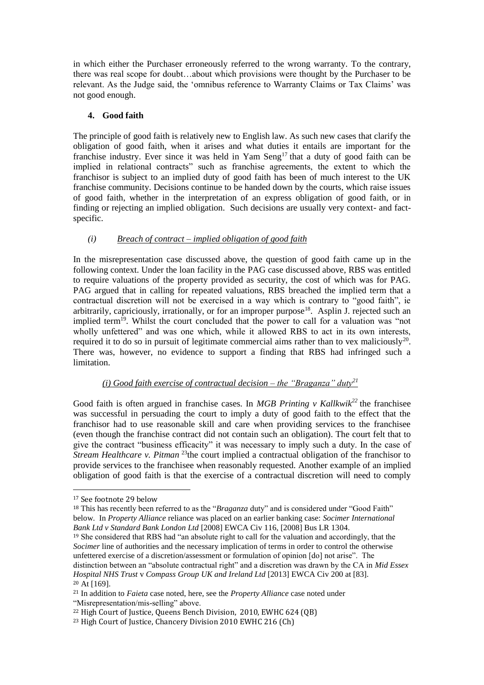in which either the Purchaser erroneously referred to the wrong warranty. To the contrary, there was real scope for doubt…about which provisions were thought by the Purchaser to be relevant. As the Judge said, the 'omnibus reference to Warranty Claims or Tax Claims' was not good enough.

## **4. Good faith**

The principle of good faith is relatively new to English law. As such new cases that clarify the obligation of good faith, when it arises and what duties it entails are important for the franchise industry. Ever since it was held in Yam Seng<sup>17</sup> that a duty of good faith can be implied in relational contracts" such as franchise agreements, the extent to which the franchisor is subject to an implied duty of good faith has been of much interest to the UK franchise community. Decisions continue to be handed down by the courts, which raise issues of good faith, whether in the interpretation of an express obligation of good faith, or in finding or rejecting an implied obligation. Such decisions are usually very context- and factspecific.

#### *(i) Breach of contract – implied obligation of good faith*

In the misrepresentation case discussed above, the question of good faith came up in the following context. Under the loan facility in the PAG case discussed above, RBS was entitled to require valuations of the property provided as security, the cost of which was for PAG. PAG argued that in calling for repeated valuations, RBS breached the implied term that a contractual discretion will not be exercised in a way which is contrary to "good faith", ie arbitrarily, capriciously, irrationally, or for an improper purpose<sup>18</sup>. Asplin J. rejected such an implied term<sup>19</sup>. Whilst the court concluded that the power to call for a valuation was "not wholly unfettered" and was one which, while it allowed RBS to act in its own interests, required it to do so in pursuit of legitimate commercial aims rather than to vex maliciously<sup>20</sup>. There was, however, no evidence to support a finding that RBS had infringed such a limitation.

# *(i) Good faith exercise of contractual decision – the "Braganza" duty<sup>21</sup>*

Good faith is often argued in franchise cases. In *MGB Printing v Kallkwik<sup>22</sup>* the franchisee was successful in persuading the court to imply a duty of good faith to the effect that the franchisor had to use reasonable skill and care when providing services to the franchisee (even though the franchise contract did not contain such an obligation). The court felt that to give the contract "business efficacity" it was necessary to imply such a duty. In the case of *Stream Healthcare v. Pitman* <sup>23</sup>the court implied a contractual obligation of the franchisor to provide services to the franchisee when reasonably requested. Another example of an implied obligation of good faith is that the exercise of a contractual discretion will need to comply

 $\overline{a}$ 

<sup>18</sup> This has recently been referred to as the "*Braganza* duty" and is considered under "Good Faith" below. In *Property Alliance* reliance was placed on an earlier banking case: *Socimer International Bank Ltd v Standard Bank London Ltd* [2008] EWCA Civ 116, [2008] Bus LR 1304.

<sup>19</sup> She considered that RBS had "an absolute right to call for the valuation and accordingly, that the *Socimer* line of authorities and the necessary implication of terms in order to control the otherwise unfettered exercise of a discretion/assessment or formulation of opinion [do] not arise". The distinction between an "absolute contractual right" and a discretion was drawn by the CA in *Mid Essex Hospital NHS Trust* v *Compass Group UK and Ireland Ltd* [2013] EWCA Civ 200 at [83].  $20$  At [169].

<sup>17</sup> See footnote 29 below

<sup>21</sup> In addition to *Faieta* case noted, here, see the *Property Alliance* case noted under "Misrepresentation/mis-selling" above.

<sup>&</sup>lt;sup>22</sup> High Court of Justice, Queens Bench Division, 2010, EWHC 624 (OB)

<sup>&</sup>lt;sup>23</sup> High Court of Justice, Chancery Division 2010 EWHC 216 (Ch)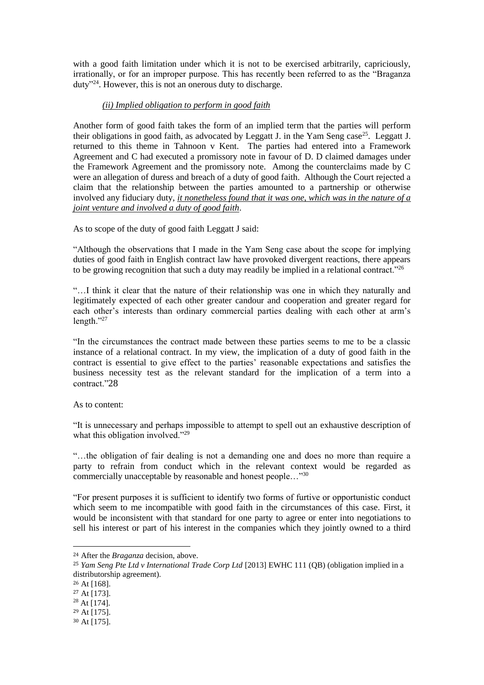with a good faith limitation under which it is not to be exercised arbitrarily, capriciously, irrationally, or for an improper purpose. This has recently been referred to as the "Braganza duty"<sup>24</sup>. However, this is not an onerous duty to discharge.

#### *(ii) Implied obligation to perform in good faith*

Another form of good faith takes the form of an implied term that the parties will perform their obligations in good faith, as advocated by Leggatt J. in the Yam Seng case<sup>25</sup>. Leggatt J. returned to this theme in Tahnoon v Kent. The parties had entered into a Framework Agreement and C had executed a promissory note in favour of D. D claimed damages under the Framework Agreement and the promissory note. Among the counterclaims made by C were an allegation of duress and breach of a duty of good faith. Although the Court rejected a claim that the relationship between the parties amounted to a partnership or otherwise involved any fiduciary duty, *it nonetheless found that it was one, which was in the nature of a joint venture and involved a duty of good faith*.

As to scope of the duty of good faith Leggatt J said:

"Although the observations that I made in the Yam Seng case about the scope for implying duties of good faith in English contract law have provoked divergent reactions, there appears to be growing recognition that such a duty may readily be implied in a relational contract."<sup>26</sup>

"…I think it clear that the nature of their relationship was one in which they naturally and legitimately expected of each other greater candour and cooperation and greater regard for each other's interests than ordinary commercial parties dealing with each other at arm's length."<sup>27</sup>

"In the circumstances the contract made between these parties seems to me to be a classic instance of a relational contract. In my view, the implication of a duty of good faith in the contract is essential to give effect to the parties' reasonable expectations and satisfies the business necessity test as the relevant standard for the implication of a term into a contract."28

As to content:

"It is unnecessary and perhaps impossible to attempt to spell out an exhaustive description of what this obligation involved."<sup>29</sup>

"…the obligation of fair dealing is not a demanding one and does no more than require a party to refrain from conduct which in the relevant context would be regarded as commercially unacceptable by reasonable and honest people..."<sup>30</sup>

"For present purposes it is sufficient to identify two forms of furtive or opportunistic conduct which seem to me incompatible with good faith in the circumstances of this case. First, it would be inconsistent with that standard for one party to agree or enter into negotiations to sell his interest or part of his interest in the companies which they jointly owned to a third

<sup>24</sup> After the *Braganza* decision, above.

<sup>&</sup>lt;sup>25</sup> *Yam Seng Pte Ltd v International Trade Corp Ltd* [2013] EWHC 111 (QB) (obligation implied in a distributorship agreement).

<sup>26</sup> At [168].

<sup>27</sup> At [173].

<sup>28</sup> At [174].

<sup>29</sup> At [175].

<sup>30</sup> At [175].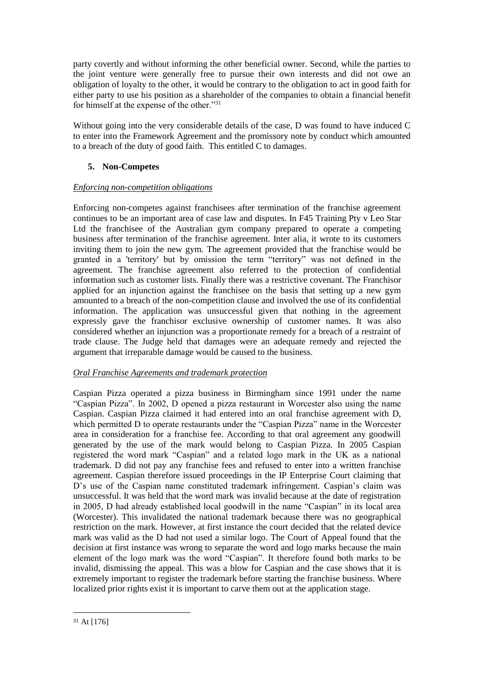party covertly and without informing the other beneficial owner. Second, while the parties to the joint venture were generally free to pursue their own interests and did not owe an obligation of loyalty to the other, it would be contrary to the obligation to act in good faith for either party to use his position as a shareholder of the companies to obtain a financial benefit for himself at the expense of the other."<sup>31</sup>

Without going into the very considerable details of the case, D was found to have induced C to enter into the Framework Agreement and the promissory note by conduct which amounted to a breach of the duty of good faith. This entitled C to damages.

## **5. Non-Competes**

#### *Enforcing non-competition obligations*

Enforcing non-competes against franchisees after termination of the franchise agreement continues to be an important area of case law and disputes. In F45 Training Pty v Leo Star Ltd the franchisee of the Australian gym company prepared to operate a competing business after termination of the franchise agreement. Inter alia, it wrote to its customers inviting them to join the new gym. The agreement provided that the franchise would be granted in a 'territory' but by omission the term "territory" was not defined in the agreement. The franchise agreement also referred to the protection of confidential information such as customer lists. Finally there was a restrictive covenant. The Franchisor applied for an injunction against the franchisee on the basis that setting up a new gym amounted to a breach of the non-competition clause and involved the use of its confidential information. The application was unsuccessful given that nothing in the agreement expressly gave the franchisor exclusive ownership of customer names. It was also considered whether an injunction was a proportionate remedy for a breach of a restraint of trade clause. The Judge held that damages were an adequate remedy and rejected the argument that irreparable damage would be caused to the business.

## *Oral Franchise Agreements and trademark protection*

Caspian Pizza operated a pizza business in Birmingham since 1991 under the name "Caspian Pizza". In 2002, D opened a pizza restaurant in Worcester also using the name Caspian. Caspian Pizza claimed it had entered into an oral franchise agreement with D, which permitted D to operate restaurants under the "Caspian Pizza" name in the Worcester area in consideration for a franchise fee. According to that oral agreement any goodwill generated by the use of the mark would belong to Caspian Pizza. In 2005 Caspian registered the word mark "Caspian" and a related logo mark in the UK as a national trademark. D did not pay any franchise fees and refused to enter into a written franchise agreement. Caspian therefore issued proceedings in the IP Enterprise Court claiming that D's use of the Caspian name constituted trademark infringement. Caspian's claim was unsuccessful. It was held that the word mark was invalid because at the date of registration in 2005, D had already established local goodwill in the name "Caspian" in its local area (Worcester). This invalidated the national trademark because there was no geographical restriction on the mark. However, at first instance the court decided that the related device mark was valid as the D had not used a similar logo. The Court of Appeal found that the decision at first instance was wrong to separate the word and logo marks because the main element of the logo mark was the word "Caspian". It therefore found both marks to be invalid, dismissing the appeal. This was a blow for Caspian and the case shows that it is extremely important to register the trademark before starting the franchise business. Where localized prior rights exist it is important to carve them out at the application stage.